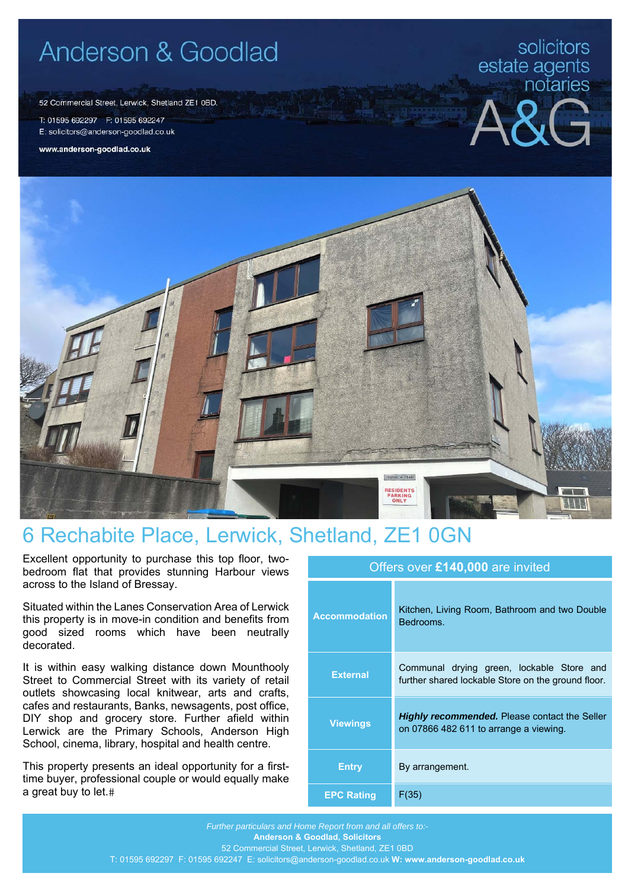## Anderson & Goodlad

52 Commercial Street, Lerwick, Shetland ZE1 0BD.

T: 01595 692297 F: 01595 692247 E: solicitors@anderson-goodlad.co.uk

www.anderson-goodlad.co.uk

## solicitors estate agents<br>notaries





## 6 Rechabite Place, Lerwick, Shetland, ZE1 0GN

Excellent opportunity to purchase this top floor, twobedroom flat that provides stunning Harbour views across to the Island of Bressay.

Situated within the Lanes Conservation Area of Lerwick this property is in move-in condition and benefits from good sized rooms which have been neutrally decorated.

It is within easy walking distance down Mounthooly Street to Commercial Street with its variety of retail outlets showcasing local knitwear, arts and crafts, cafes and restaurants, Banks, newsagents, post office, DIY shop and grocery store. Further afield within Lerwick are the Primary Schools, Anderson High School, cinema, library, hospital and health centre.

This property presents an ideal opportunity for a firsttime buyer, professional couple or would equally make a great buy to let.

| <b>Accommodation</b> | Kitchen, Living Room, Bathroom and two Double<br>Bedrooms.                                      |  |
|----------------------|-------------------------------------------------------------------------------------------------|--|
| <b>External</b>      | Communal drying green, lockable Store and<br>further shared lockable Store on the ground floor. |  |
| <b>Viewings</b>      | <b>Highly recommended.</b> Please contact the Seller<br>on 07866 482 611 to arrange a viewing.  |  |
| Entry                | By arrangement.                                                                                 |  |
| <b>EPC Rating</b>    | F(35)                                                                                           |  |

Offers over **£140,000** are invited

*Further particulars and Home Report from and all offers to:-*  **Anderson & Goodlad, Solicitors**  52 Commercial Street, Lerwick, Shetland, ZE1 0BD T: 01595 692297 F: 01595 692247 E: solicitors@anderson-goodlad.co.uk **W: www.anderson-goodlad.co.uk**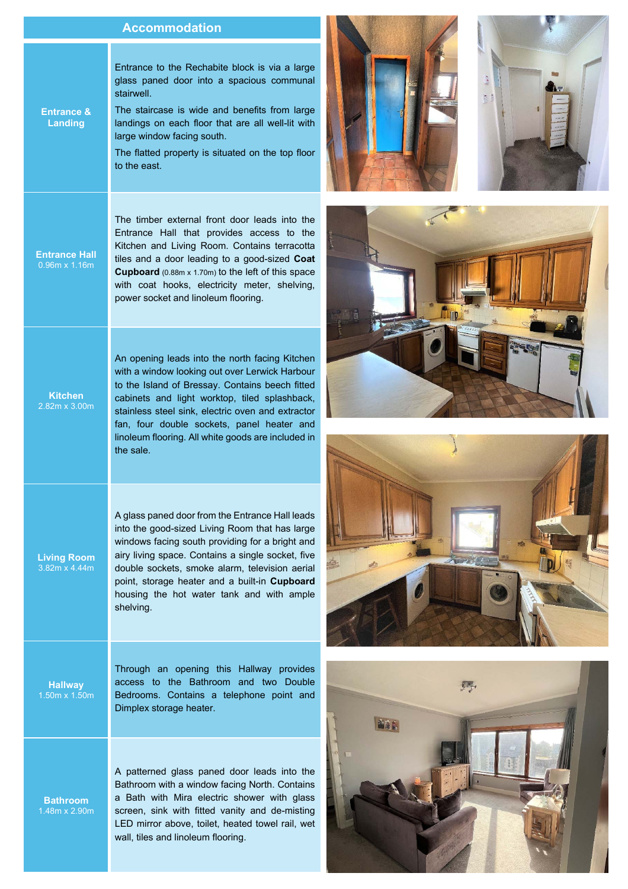## **Accommodation**

Entrance to the Rechabite block is via a large glass paned door into a spacious communal stairwell.

**Entrance &**  The staircase is wide and benefits from large landings on each floor that are all well-lit with large window facing south.

> The flatted property is situated on the top floor to the east.

The timber external front door leads into the Entrance Hall that provides access to the Kitchen and Living Room. Contains terracotta tiles and a door leading to a good-sized **Coat Cupboard** (0.88m x 1.70m) to the left of this space with coat hooks, electricity meter, shelving, power socket and linoleum flooring.

An opening leads into the north facing Kitchen with a window looking out over Lerwick Harbour to the Island of Bressay. Contains beech fitted cabinets and light worktop, tiled splashback, stainless steel sink, electric oven and extractor fan, four double sockets, panel heater and linoleum flooring. All white goods are included in the sale.

A glass paned door from the Entrance Hall leads into the good-sized Living Room that has large windows facing south providing for a bright and airy living space. Contains a single socket, five double sockets, smoke alarm, television aerial point, storage heater and a built-in **Cupboard** housing the hot water tank and with ample shelving.

**Hallway** 

**Living Room**  3.82m x 4.44m

> Through an opening this Hallway provides access to the Bathroom and two Double Bedrooms. Contains a telephone point and Dimplex storage heater.

**Bathroom** 

A patterned glass paned door leads into the Bathroom with a window facing North. Contains a Bath with Mira electric shower with glass screen, sink with fitted vanity and de-misting LED mirror above, toilet, heated towel rail, wet wall, tiles and linoleum flooring.









**Entrance Hall** 

**Landing** 

**Kitchen**  2.82m x 3.00m